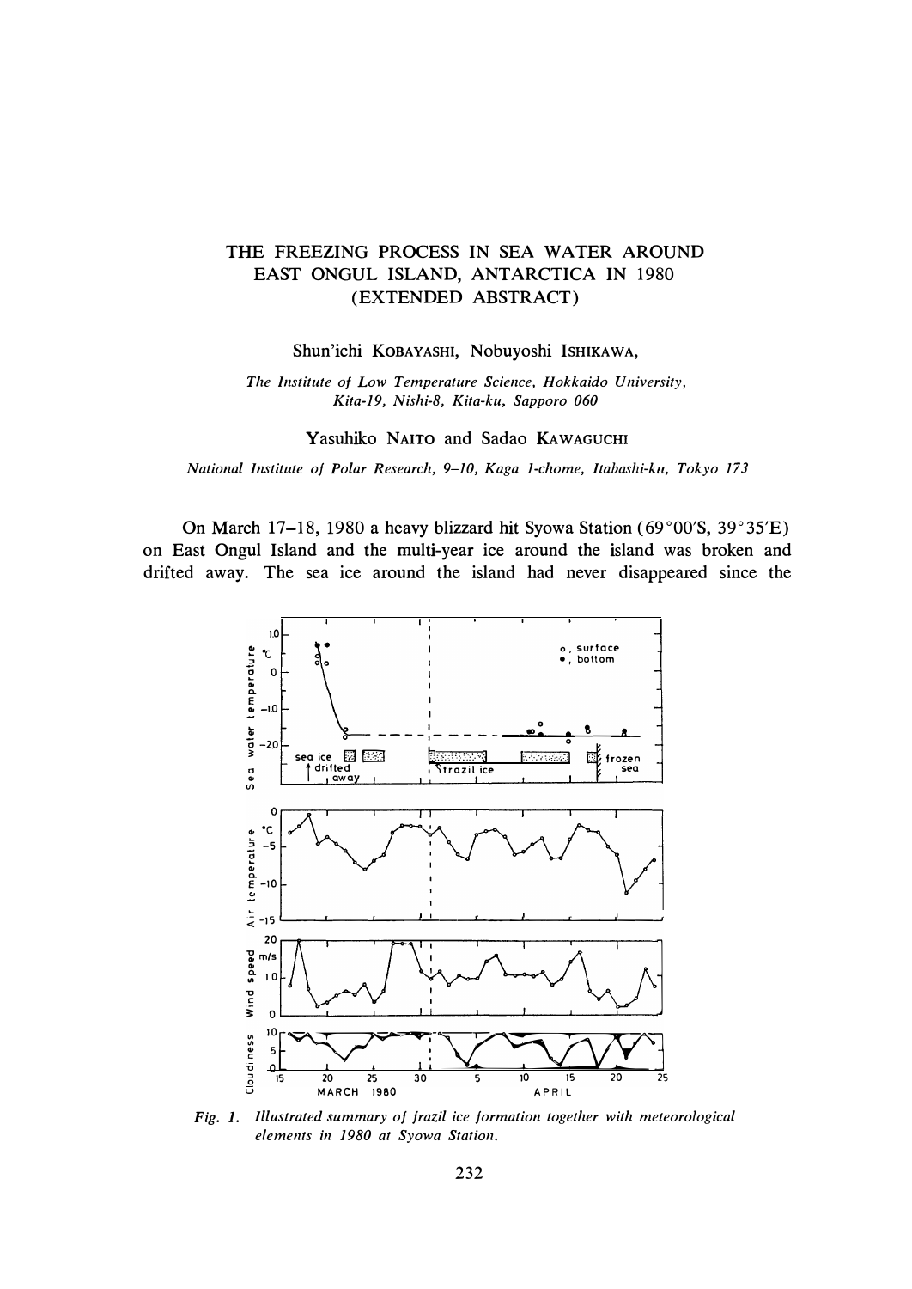## THE FREEZING PROCESS IN SEA WATER AROUND EAST ONGUL ISLAND, ANTARCTICA IN 1980 (EXTENDED ABSTRACT)

Shun'ichi KOBAYASHI, Nobuyoshi ISHIKAWA,

*The Institute of Low Temperature Science, Hokkaido University, Kita-19, Nishi-8, Kita-ku, Sapporo 060* 

Yasuhiko NAITO and Sadao KAWAGUCHI

*National Institute of Polar Research, 9-10, Kaga 1-chome, Itabashi-ku, Tokyo 173* 

On March 17-18, 1980 a heavy blizzard hit Syowa Station (69°00'S, 39°35'E) on East Ongul Island and the multi-year ice around the island was broken and drifted away. The sea ice around the island had never disappeared since the



*Fig. 1. Illustrated summary of frazil ice formation together with meteorological elements in 1980 at Syowa Station.*